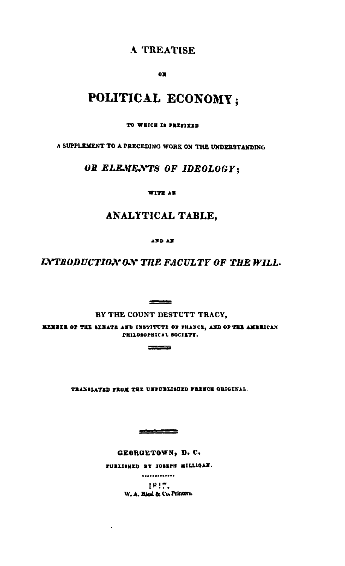# **A TREATISE**

 $0X$ 

# POLITICAL ECONOMY;

#### TO WHICH IS PREFIXED

A SUPPLEMENT TO A PRECEDING WORK ON THE UNDERSTANDING

OR ELEMENTS OF IDEOLOGY:

WITH AN

# ANALYTICAL TABLE.

AND AN

**INTRODUCTION ON THE FACULTY OF THE WILL.** 

 $\equiv$ BY THE COUNT DESTUTT TRACY.

MENBER OF THE SENATE AND INSTITUTE OF FRANCE, AND OF THE AMBRICAN PHILOSOPHICAL SOCIETY.  $\overline{$ 

THANSLATED FROM THE UNFUBLISHED FRENCH ORIGINAL.

GEORGETOWN, D. C. FUBLISHED BY JOSEPH MILLIGAN. ............. 1817. W. A. Bind & Co. Printers.

 $\bullet$ 

<u>entertainments</u>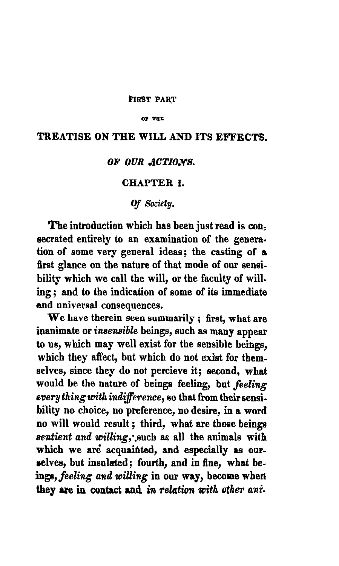#### FIRST PART

#### or THE

## TREATISE ON THE WILL AND ITS EFFECTS.

#### OF OUR ACTIONS.

### CHAPTER I.

Of Society.

The introduction which has been just read is consecrated entirely to an examination of the generation of some very general ideas; the casting of a first glance on the nature of that mode of our sensibility which we call the will, or the faculty of willing; and to the indication of some of its immediate and universal consequences.

We have therein seen summarily; first, what are inanimate or *insensible* beings, such as many appear to us, which may well exist for the sensible beings, which they affect, but which do not exist for themselves, since they do not percieve it; second, what would be the nature of beings feeling, but feeling every thing with indifference, so that from their sensibility no choice, no preference, no desire, in a word no will would result; third, what are those beings sentient and willing, such as all the animals with which we are acquainted, and especially as ourselves, but insulated; fourth, and in fine, what beings, feeling and willing in our way, become when they are in contact and in relation with other ani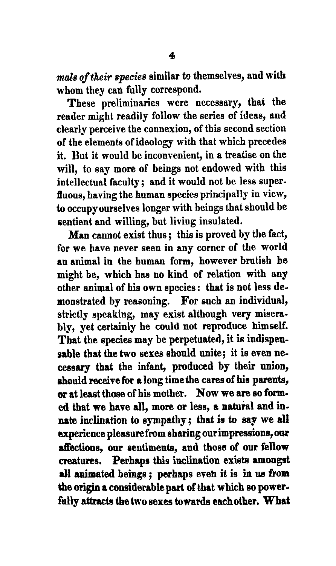*reals of their s*p*ecies* **si**m**ilar t**o **the**m**selves***,* **a**n**d with whom they can fully correspond.**

**These prelimin**a**ries were necessary***,* **that the reader** m**ight readily follow the series of** i**deas***,* **and clearly perceive the connexion***,* **of this second section of the elements of ideolo**g**y with that which precedes it. Bu**t **it would b**e **inconvenient***,* **in a treatise on the will***,* **to say** m**ore of bein**g**s not endowed with this intellectua**l **faculty; and it would not be less su***p***erfluous***,* **having** t**he human species** p**rincipally in vi**e**w**\_ **to occupy ourselves lon**g**er with bei**ng**s that should b**e **sentient and wi**ll**in**g*,* **but livi**ng **insulated.**

**Man** ca**nnot exist thus ; t**hi**s is proved by fi**l**e fact***,* **for w**e **have never seen in any corner of the world a**n **animal in the human form***,* **however brutish he** m**i**g**ht b**e*,* **which has no kind of re**l**atio**n **with any other ani**m**al of** hi**s own s***p***ecies : that is not less de**. m**onstrated by reasonin**g**. For such an individual***,* s**trictly s**p**e**a**ki**n**g***,* m**ay exist a**l**though very** m**iserably***,* **yet** ce**rtai**n**ly he could not** re**produc**e **himseff. That th**e **species** m**ay be perpetuated***,* **it is indispen**s**able that the two sexes should unite; it is even nece**ss**ary that the infant***,* p**roduced by their union***,* s**hould receiv**e **for a long time th**e **cares of hi**s **parents**\_ **or at least those of his** m**other. Now we are so form. ed that w**e **have all***,* m**o**re **or l**e**ss***,* **a natural and in**n**ate inclination** to **sympathy; that i**s **t***o* **say we all ex**p**erienc**e **pl**e**asu**re **f**rom s**haring our i**m**pression**s*,* **our aff**ec**tion**s*,* **our** s**en**tim**ents***,* **and those of our fellow creature**s**. Perhap**s **this inclination exis**ts **a**m**ong**s**t all a**n**imated bei**ng**s ;** p**erhaps eveh it is in us fro**m **th**e **ori**\_ **a consid**e**r**a**ble part of that** w**hich so** p**ower. fully attrac**ts **t**he **two** s**exes toward**s **e**a**chother. What**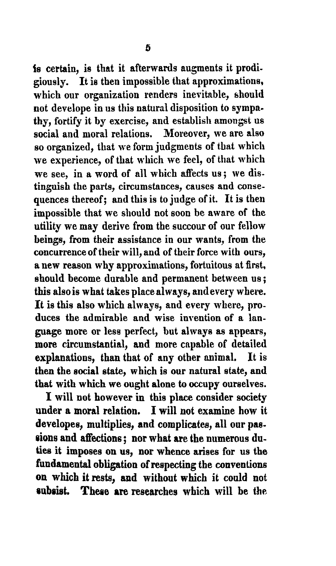**is certain***,* **is t**h**at it afterwards aug**me**nts it prodigiously. It is then impossible that approxi**m**ations, which our organization** r**enders inevitable***,* s**hould not develo**p**e in us this natural disposition to sympa. thy, fortify it by exercise***,* **and establi**sh **a**m**on**g**st us**  $\alpha$  **social** and moral relations. **so or**ga**nized***,* **that we for**m **judg**m**ents of t**h**at which** we **experience***,* **of that w**h**i**c**h we feel***,* **of t**ha**t which we see***,* **in a word of al**l **which affects us; we di**s**tin**g**uish the p**a**rts***,* **circ**um**stances***,* **causes and con**s**equences thereof; and this is to jud**g**e of it. It is then i**m**possible th**a**t we s**h**ould not soon be aware of the utility we may derive from the suc**c**our of our fellow b**e**ings***,* **fro**m **their assistan**c**e in our wants***,* **from th**e **concurrenc**e **of their will***,* **and of their force with ours***,* **anew reason why a**p**proxi**ma**tions***,* **fort**u**itous at first, should beco**me **durable and per**m**anent between us; th**i**s alsois what takes place always***,* **andevery whe**r**e. It is this also which always***,* **and every whe**re*,* **produces the admirable a**n**d wise invention of a langu**a**ge more o**r **less** p**erf**ec**t**, **but always as appears***,* **more** *c***ir**c**u**m**s**ta**nti**a**l***,* **and more capabl**e **of detailed explanations***,* **than that of any other animal. It is then the social state***,* **whi***c***h is our natural s**ta**te***,* **and that with whi**c**h we ought alone to occu**p**y ourselves.**

I **will** n**ot however in t**hi**s place consider s**oc**iety under a** m**oral** re**lation. I will not exa**m**ine how it developes**\_ m**ultiplies***,* **and co**m**plicates***,* **all ou**r **passions and a**ff**ections; nor what are the nu**m**erous duties it i**m**poses on us***,* **nor whence arises for us the funda**m**ental ob**li**gation of** re**sp**ec**ting the** co**nventions on which it** re**sts**\_ **and without w**hi**ch it cou**l**d not** s**ub**s**ist. The**se **are** re**searches which will be th**e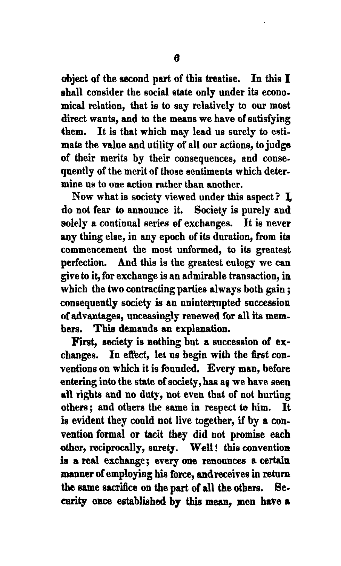object of the second part of this treatise. In this I shall consider the social state only under its economical relation, that is to say relatively to our most direct wants, and to the means we have of satisfying It is that which may lead us surely to estithem. mate the value and utility of all our actions, to judge of their merits by their consequences, and consequently of the merit of those sentiments which determine us to one action rather than another.

Now what is society viewed under this aspect? I do not fear to announce it. Society is purely and solely a continual series of exchanges. It is never any thing else, in any epoch of its duration, from its commencement the most unformed, to its greatest And this is the greatest eulogy we can perfection. give to it, for exchange is an admirable transaction, in which the two contracting parties always both gain; consequently society is an uninterrupted succession of advantages, unceasingly renewed for all its mem-This demands an explanation. hers.

First, society is nothing but a succession of exchanges. In effect, let us begin with the first conventions on which it is founded. Every man, before entering into the state of society, has as we have seen all rights and no duty, not even that of not hurting others; and others the same in respect to him. Tt. is evident they could not live together, if by a convention formal or tacit they did not promise each other, reciprocally, surety. Well! this convention is a real exchange; every one renounces a certain manner of employing his force, and receives in return the same sacrifice on the part of all the others. Security once established by this mean, men have a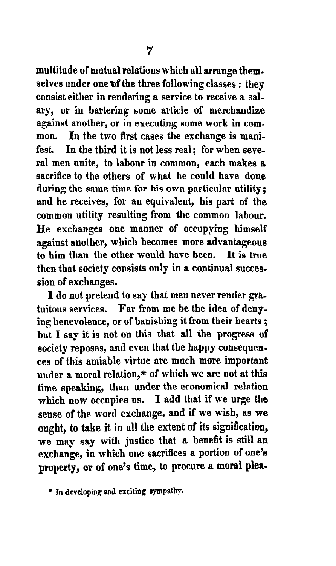m**ultitude of** m**utu**a**l relations which all arran**g**e the**m**. selves under one** \_**fthe three followin**g **classes : they consist either in renderin**g **a service to receive** a **salary***,* **or in barterin**g **some article of** m**erch**a**ndize against another***,* **or in executin**g **some work in co**m**mon. In t**h**e two first cases the exchan**g**e is** m**anifest. In the third it is not less real; for when several** m**en unite, to labour in common***,* **each makes a sacrifice to the others of what he cou**l**d h**a**ve done durin**g **the s**ame **time for his own particular utility; and h**e **receives***,* **for an equiv**a**l**e**nt**, h**is part of fi**le **co**mm**on utility resultin**g **from the common labour. He excha**ng**es one manner of occu**p**yin**g **hi**m**self ag**ai**n**s**t another***,* **which becomes more advantageous to him than the other would have been. then that society consists only in a continu**a**l succes**s**ion of exch**a**n**g**es.**

**I do not pretend to say that** m**en never render** \_**atuitous services. Far from** me **be the idea of denyin**s **benevolence***,* **or of b**a**nishin**g **it from their hearts ; but I s**a**y it i**s **not on this t**ha**t** a**ll the pro**\_e**ss of society reposes***,* **and even that the happy consequences of this a**m**iable virtue are much** m**ore i**m**portant under a** m**oral r**e**l**a**tion***,*\_ **of w**h**ich we** a**re not** a**t this ti**m**e spe**a**kin**g**, t**ha**n under the economical relation w**h**ich now occupies us. I add that if we ur**g**e th**e **sense of the wo**r**d exc**h**an**g**e, and if we wish***,* **as w**e **ou**g**ht***,* **to take it in all the extent of its signiflcation**\_ w**e** m**ay s**a**y with justice that** a **benefit is still a**n **exchan**g**e***,* **in which one sacrifices a portion of one***'***s property***,* **or of one***'***s ti**m**e***,* **to procure** a m**ora**l **plea-**

**. I***n***developingandexci**t**in**g**sym**pa**thy.**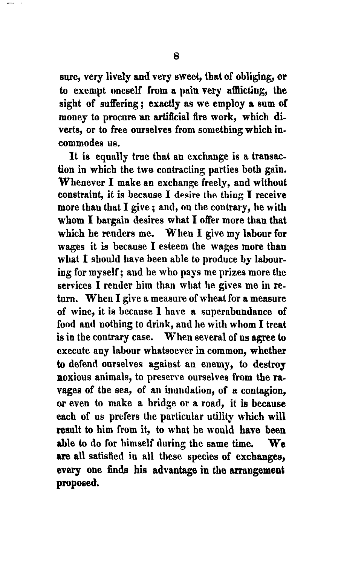**sure, v**e**ry liv**e**ly an**d **ve**ry **sweet***,* **that of ob**l**iging***,* **or to ex**e**mpt oneself fro**m **a pain ve**ry **aff**l**ictin**g*,* **th**e **sight of su**ff**ering; exact**l**y a**s **we employ a su**m **of money to procure an artificial** fi**re work***,* **which diverts***,* **or to free ourselves from something which inco**mm**odes us.**

**It i**s **equally true that an exchange is a transaction in which the two contra**ct**ing parties both gain. When**e**ver I make an exchan**g**e fr**e**e**l**y, and without constraint***,* **it i**s **because I desir***e* **th**e **thing I receive** m*o***re than that I give ; and***,* **on the contrary***,* **he with whom I bargain desi**re**s what I offer more than that which he r**e**nders** m**e. When I give** m**y labour for wa**g**es it is because I estee**m **the wages** m**o**re **than what I should have been able to produce by labourin**g **for mys**e**lf;** a**nd he who pays** m**e prizes mor**e **the services I render hi**m **than what h**e **gives** m**e in return. When I give a measure of wheat for a measure of wine***,* **it is becaus**e **1 have a superabundanc**e **of food and nothing to drink, and he with who**m **I treat is in the contrary case. When several of us agree to ex**ec**ute any labour wh**a**tsoever in co**mm**on**\_ **whether to defend** o**ur**s**e**l**ves against an ene**m**y***,* to **destro**y **noxious ani**m**a**l**s**\_ **to pres**e**r**v**e ourse**l**ves fro**m **th**e **ra. rag**e**s of the sea***,* **of an inundation***,* **of a conta**\_**on**\_ **or even to make** a **brid**g**e or a road***,* **it is becaus**e ea**ch of us prefers the particular utility which** w**ill r**e**sult to** h**im fro**m **it***,* **to what h**e **would have b**e**en ab**le to **do for** h**i**m**se**l**f durin**g **th**e **same time. W**e **are all satisfied in a**ll **these species of ex**c**h***s***.u**g**es**\_ e**v**e**ry on**e **fi**n**ds his adv**a**nta**ge **in th**e **arran**geme**at proposed.**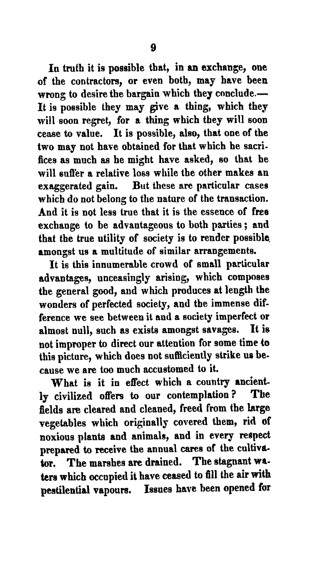**In tru**t**h it is possibl**e **that, in an** e**xchange***,* **on**e **of the contractors, or** e**ven both***,* **may hav**e **been wron**g **to d**e**sire the b**a**rgain which th**ey **conclud**e**.- It is possibl**e **they** m**ay Kive a thin**g**, which they will soon re**\_**'et***,* **for a thing which they wi**l**l soon cease to value. It is possible***,* **also***,* **that one of the two** m**ay not have obtain**e**d for that which he sacrifices as** m**uch as he** m**i**g**ht have asked***,* **so that h**e **will s**uff**er a relativ**e **loss w**h**ile the other** m**akes an exag**g**erated** g**ain. But these a**re **particular cases whi***c***h do not belon**g **to fi**l**e nature of the t**ra**nsaction. And it is not l**e**ss true that it is the essence of fre**e e**xchan**g**e to b**e **advanta**g**eous to both parties ; and that th**e **tru**e **utility of society is to render possibl**e **amon**g**st us a** m**ultitude of si**m**ilar ar**ra**nge**m**ents.**

**It is this innu**m**erabl**e **crowd of sma**l**l particular adv**a**ntages***,* **un**c**easin**g**ly arising, which co**m**poses the** g**en**e**ral good***,* an**d which produc**e**s at len**g**th th**e **wonde**rs **of perfected s**oc**iety***,* **and th**e **im**m**ense diffe**re**nce we see between it aud a soci**e**ty i**m**p**er**f**ec**t or almost null***,* **such** as **exists a**m**ongst sava**g**es. It is not i**m**proper to direct our** a**ttention for some ti**m**e to this** p**icture***,* **which does not** s**uffici**e**ntly** s**t**r**ik**e **u**s **be**. **cause we a**re **too** m**uch accus**tom**ed to it.**

**What** is it in effect which a country ancient-<br>
civilized offers to our contemplation? The ly civilized offers to our contemplation? **fields ar**e **cleared and cleaned***,* **freed f**rom **the lar**g**e ve**g**etables which ori**g**inal**l**y covered the**m**, rid of noxious plan**ts **and animal***s,* **and in eve**ry **re**s**pect p**re**p**a**red** to **receive the annual ca**re**s of the cu**l**tivator. The** m**arshes a**re **drained. The s**ta**gnant w**a**. t**e**r**s **which occupied it have ceased to fill the air with pe***s***tilential vapour***s***. Issues ha**v**e been opened for**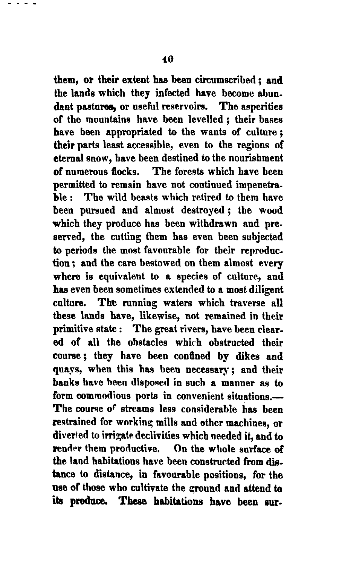**th**em**, o**r **th**e**ir extent has been circumscribed ; and the land**s **which the**y **inf**e**ct**e**d have becom**e **abundant pa***s***tur**e\_ **or us**e**ful reservoirs. The asperitie***s* **of the** m**ountains have b**ee**n l**e**ve**l**l**e**d ; their ba**s**es hav**e **been** a**ppropri**a**ted to th**e **w**a**nts of culture ;** the**ir p**a**rts l**e**ast accessibl**e*,* e**ven to th**e **r**e**gions of** e**tern**a**l snow***,* **hav**e **b**ee**n destined to th**e **nourish**m**ent of nu**m**erous a**ec**ks. Th**e **forests which have b**e**en p**e**rmitted** to **r**e**m**a**in hav**e **not continued i**m**p**e**netrabl**e : **Th**e **wild be**as**ts which retired** to **th**e**m have be**e**n pursu**e**d and almost destroyed ; the wood which th**e**y p**ro**duc**e **h**as **be**e**n withdrawn** a**nd pr**ese**rv**e**d, the cutting** t**he**m **h**as e**ven b**e**en subject**e**d to period**s **the most favourabl**e **for th**e**ir reproduction:** a**nd the care bestow**e**d on them a**l**most ev**e**ry wh**e**r**e **i**s e**quiv**al**ent** to **a speci**e**s of cu**l**ture***,* a**nd** has e**ven been som**e**times** e**x**te**nd**e**d** to **a most dilig**e**nt cultur**e**. The running w**aters **which trave**rs**e** a**ll these land***s* **have, H**ke**wise***,* **no**t **r**em**ain**e**d in their primit**i**ve** s**t**ate : **The gr**ea**t riv**ers**, hav**e **b**ee**n cle**a**r**e**d of** a**l**l **th**e **obstacl**e**s whi**c**h ob**s**truc**te**d their cou**rse **; they have been con**t**tn**e**d by dikes** a**nd quays, when this h**as **been n**ec**es**s**ar**y**; and their banks have been disposed in such a** m**anner** as **to form co**mm**od**i**ou**s **por**ts **in convenient situations.**-- **The cour**s**e o**r **st**re**a**m**s less considerable has been r**eq**train**e**d for workin**g m**ills and** e**ther** m**achine**s*,* **or diverted** to **irrigate** declivities which needed it, and to render them productive. On the whole surface of **render** them **productive. the land** h**abi**ta**tions have be**e**n** co**n**s**truc**te**d fro**m **distanc**e **to di**s**t**an**ce***,* **in favou**ra**ble positions, for the u**se **of t**h**ose who cultiva**te **the** \_**round and at**te**nd to it**s **produc**e**. Th**e**s**e **habitations hav**e **b**ee**n** s**ur-**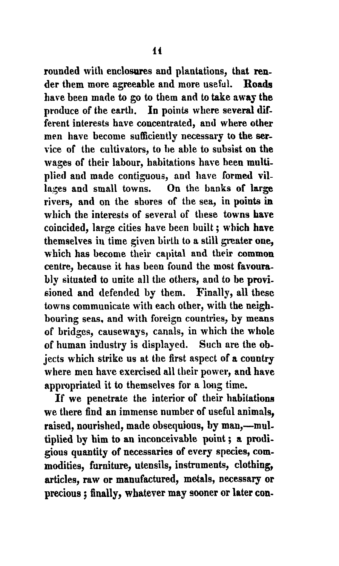**rounded wit**h **enc**l**osures and plantations***,* **that render them more a**g**reeabl**e **and more us**c**?**al**. Roads** h**ave been made to** g**o** to **t**h**em and to take away th**e **produce of** t**he earth. In points wh**e**re several different interests have co**n**centrated, and where other** m**en have become sufficiently necessary to the service of the cultivators***,* **to be able to subsist on the wa**g**e**s **of their labour***,* **h**a**bitations have be**e**n multiplied and made conti**g**uou**s*,* **and** ha**ve** f**or**m**ed villa**g**es and s**ma**l**l **towns. On th**e **banks of l**a**r**\_ **rivers***,* **and** o**n t**h**e shores of ti**l**e** s**ea***,* **in points in which th**e **interests of severa**l **of t**h**ese** to**wns ha**v**e coincided***,* **lar**g**e cities have been built ; which have th**e**ms**el**ves i**n **time .**\_**iven bi**r**th to** a **still g**rea**t**e**r one***,* **v***,***hich has beco**m**e the**ir **ca**p**ita**l **and their co**mm**on** *c***entre***,* **because it has been found the most favourably** s**ituated to unite all the ot**h**e**r**s***,* **and to be provisioned and defend**e**d by them. Finally, all thes**e **towns com**mu**nic**a**te with each other***,* **with the nei**g**hbourin**g **seas, and with for**e**ign countries***,* **by means of bridges***,* **causeways***,* **cana**l**s***,* **in which th**e **whole of hu**m**an indust**r**y is disp**l**ayed. Such are the obj**e**cts which strike us at ti**l**e first aspect of a country where** m**en ha**v**e exe**r**ci**s**ed a**ll **t**he**ir pow**e**r***,* **an**d **have appr**o**pri**ate**d it to themselves for** a l**o**llg **time.**

**If we penetrate the inte**ri**or of their h**a**bita**ti**on***s* **w**e **t**h**ere find an im**m**ense number of useful ani**m**als**\_ **rais**e**d***,* **nourished***,* **made obs**e**quious, by man***,***--**m**ultip**l**ied by** h**i**m **to** a**n inconc**e**ivab**l**e point ;** a **prodi- \$ious quantity of necess**a**ries of every sp**ec**ies, co**rn**modifies***,* **furniture***,* **utensi**l**s***,* **instruments***,* **c**l**othin**g\_ **articles***,* **raw or** m**anufactured***,* m**etals***,* **necessary or p**r**ecious** \_ **fin**a**lly**\_ **whatever m**a**y sooner or later con-**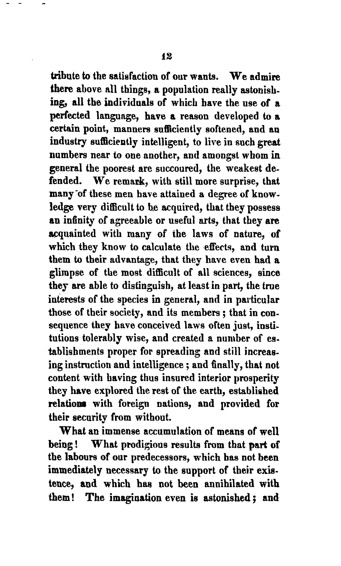**tribute to the satisfaction of our wants. We** a**dmi**re **there above** a**ll things, a population really astonish**. **i**ng*,* **all the i**n**di**v**iduals of which have the use of a perfected** l**anguage***,* **hav**e **a reason developed to a certain point,** ma**nners su**m**cientiy softened***,* **and an industry sufficie**n**tly inte**ll**igent***,* **to live in such great numbe**rs **near to one anoth**er\_ **and a**m**on**g**st whom in** g**eneral the poorest are succoured***,* **th**e **weakest defended. We re**ma**rk***,* **with still** m**ore surprise***,* **that many'of these men have attained a degree of knowled**g**e very difficult to** be **acquired***,* **that they possess an infinity of a**g**reeable or useful arts***,* **that they** a**re acquainted with many of the laws of nature***,* **of which they k**n**ow** to **ca**l**c**ul**ate rite effects***,* **a**n**d t**u**rn them** to **their adv**a**nta**ge*,* **that they have even h**a**d** a **g**l**i**mp**se of the most difficu**l**t of al**l **sciences***,* **since they a**re **able to distin**g**uish***,* **at least in part***,* **the** *t***rue interests of the species in g**e**n**e**ral***,* **and in particular t**h**o**s**e of their** s**oci**e**ty,** a**nd its** m**e**m**b**e**rs ; that in consequence they have co**n**ceived** l**aws often just, institutions tolerably wise***,* **and cre**a**ted a number of es. tablish**m**ents pro**p**er fo**r **spreadin**g **and sti**l**l increasing instruction and inte**ll**igence ; and fina**ll**y***,* **that not content with h**a**ving thus in**su**red interior prosperi**t**y they have exp**l**o**re**d t**h**e rest** o**f the ea**r**th***,* **es**tab**li**s**hed relatim**m **with for**e**ign n**a**t**i**on**s\_ **and p**r**ovided fo**r **their security fro**m **without.**

**What an im**m**ense accumulation of** m**eans of wel**l **bei**n**g**! **What p**ro**digious resu**lts **fro**m **that part of the l**a**bou**rs **of our predeces**s**ors***,* **which h**as **not been i**m**medi**atel**y necessary to the support of their exis**. **te**n**ce***,* an**d which ha**s **not be**e**n** a**nni**hila**ted with the**m! **The i**m**agination even is** as**tonished; and**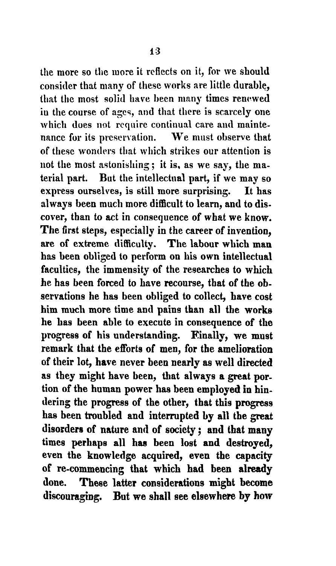tile **m**o**r**e **so t**he m**o**re i**t refl**ect**s** on **it***,* **for w**e **sho**ul**d con**s**id**e**r t**ha**t many of t**hese w**orks** are **li**t**tle dura**b**l**e*,* **t**ha**t t**he **most so**l**i**d ha**v**e bee**n m**a**ny tim**e**s r**e**n**ewe**d iu t**ile c**ours**e **of a**ge% an**d t**ha**t t**here **i**s **sc**ar**c**e**l**y **on**e **which does not require continual care and mainte-<br>
<b>nance for its preservation.** We must observe that **nance for its preservation. of t**hese w**on**ders **t**h**a**t wh**ic**h **s**tr**ik**e**s ou**r **att**e**n**t**ion is** not the most astonishing; it is, as we say, the ma-<br>terial part. But the intellectual part, if we may so **h**Eut the intellectual part, if we may so selves, is still more surprising. It has **exp**re**ss ours**el**v**e**s, is s**t**ill more** s**urp**r**i**s**in**g**. I**t **h**a**s** a**l**w**ays** be**en** m**uc**h **mor**e **diff**i**cul**t **to l**e**arn***,* a**nd to discover***,* **than** t**o ac**t **in cons**e**qu**e**nc**e **of** w**hat** w**e kno**w**. T**he fi**rs**t **st**e**ps***,* **esp**e**cially in t**he c**areer of inv**e**ntion**, a**re of extre**m**e di**ffic**u**l**ty. T**ile l**a**b**our** wh**i**c**h** ma**n h**a**s** be**en o**b**li**ge**d to p**e**rfo**r**m on** h**is o**w**n intellectu**a**l facul**t**i**e**s***,* **t**h**e immensit***y* **of t**h**e** r**e**s**earch**es t**o** w**hic**h **he** has **been forc**e**d to have recour**s**e***, t*h**at of** t**he obs**e**rvations** h**e has** bee**n obli**g**ed to col**l**ec**t*,* **have cos***t* **hi**m m**uc**h **mor**e **ti**m**e** a**nd pain**s **than** al**l** t**h**e **work**s **he has been a**b**le to execute in consequence of th**e **p**r**o**g**r**ess **of** h**i**s **und**e**rs**t**andin**g**.** F.**inall**y*,* we **must r**e**mark that the effor**t**s of** m**en***,* **for the a**m**elioration of t**he**ir lot***,* **have never been nearly as** w**ell direct**e**d a**s **they mi**gh**t have be**e**n***,* **that al**w**ays** a g**re**a**t portion of t**h**e human po**we**r** h**as be**e**n e**m**ployed in hinderin**g **t**he **pro**g**re**ss **of th**e **oth**e**r***,* **th**at **this pro**g**re***a*s has been troubled and interrupted by all the great **diso**r**ders of nature and of** s**oci**e**ty; and** t**hat** m**any ti**mes **per**h**ap**s **all h**u **been lost and des***t***ro**ye**d***,* **even** t**h**e **kno**w**led**g**e acquired***,* **even the c**a**p**a**cit***y* **of re-**c**o**mm**e**nc**in**g **tha**t w**hi**c**h h**a**d been** a**lready don**e**.** T**hese l**a**t**te**r con**s**ide**ra**tions mi**g**h**t **be**c**o**me **dis**e**oura**#**n**g**. Bu**t w**e s**h**all** s**ee** e**l**sewh**e**r**e by how**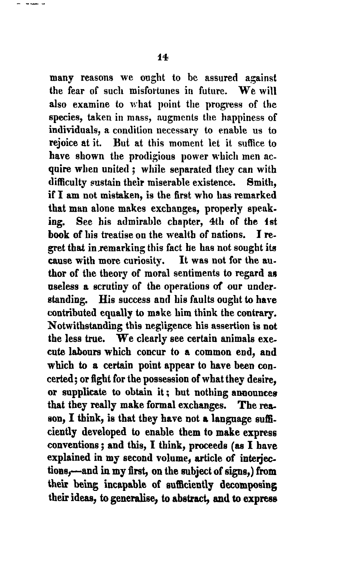m**any reasons we ou**gh**t to** he **assured a**.\_a**inst the fear of such misfortu**n**es in future. We will also ex**am**ine to** \_**.***,***'hat point t**h**e pro**\_**ss of th**e **speci**e**s***,* **take**n **i**ll **mass***,* a**ug**me**n**t**s t**he **happiness of individuals***,* **a condition** ne**c**e**ssa**r**y to enable u**s **to rejoice at it. But** a**t this mome**n**t let it suffice to have shown t**h**e prodi**g**ious power whic**h me**n acqu**i**re when united ; w**h**ile separated t**h**ey can with difficulty sustain the**i**r miserable existence. Smith***,* **if I a**m **not** m**i**s**tak**en*,* **is the first who has** rema**rk**e**d that** ma**n alone** ma**kes exchanges***,* **properly spe**a**kin**g**. S**ee **h**i**s admirable chapter,** 4**t**h **of th**e *t***st book of** h**is treatise on the wealth of nations. I** re**gr**e**t th**a**t in**\_**'e**ma**rki**n**g t**h**i**s **fact he ha**s **not sought its caus**e **with more curiosity. It wa**s n**ot for th**e au**thor of t**he **theory of** m**or**al **senti**m**ents to** re**g**a**rd a**s **useless a scrutiny of the operations** o**f our understandin**g**. His success and his f**a**ul**ts **ou**g**ht to have** c**o**n**tributed equally** to ma**k**e **hi**m **think the co**n**trary. Notwiths**ta**ndin**g **this ne**gl**igenc**e **his assertion is not the less true. We clearly see certain animals execute labours which con**c**ur** t**o a co**mm**on end***,* **and which** to **a certain point appear to have bee**n **concerted; or fight for the possession of what they desire***,* **or supplica**te **to ob**ta**i**n **it ; hut not**h**in**g a**n**n**ounc**e*s* **that they** re**all**y **make forma**l e**x**c**hang**e**s. The reason***,* **I think***,* **is that they have not** a **langu**a**ge sufficiently developed to enable the**m **to** m**ake express conventions ; and this***,* **I think***,* **pro***c***eeds (**a**s I have explained in** m**y second volu**m**e**\_ **arti**c**le of interje**c**ti**o**n**s*f***-.and i**n m**y ti***n***t***,* **o**n **the subje**c**t of sig**n**s***,***) fro**m **th**eir **bein**\_ **incap**a**bl**e **of sutBci**e**nt**ly **decompo**s**in**\_ **their ideas***,* **to generalise**\_ **to abstra**c**t***,* a**nd to express**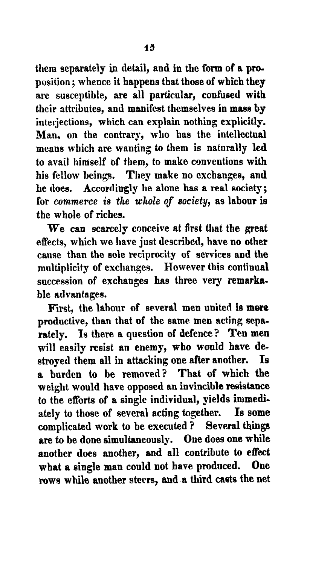**t**h**e**m **s**e**p**a**rat**el**y in detai**l*,* **a**n**d i**n **th**e **for**m **of a pro. position** \_**whe**n**ce it** h**appe**n**s that t**h**ose** o**f w**h**ic**h **they a**re **susceptible***,* **are all particular***,* **co**nf**used with their att**r**ibu**t**es***,* **and manifest themselves in** m**ass by i**n**te**l**jections***,* **which ca**n **explain nothin**g **explicitly. M**a**n***,* **on th**e **contrary, who h**a**s the i**n**tellectual means which are wantin**g **to the**m **is naturally led to avail himself** o**f the**m*,* **to make conventions with his fe**l**low bein**\_**. They make no exchanges, and he does. Accordingly he alone has a real soci**e**ty; for** *commerce is* t*he whole of* **s***ociety,* a**s labour is the whole of riches.**

*W***e** *c*a**n scarcely conceive at first t**h**at th**e **gr**e**at effects***,* **which we** ha**ve just described, have no other cau**s**e than the sole recipr**oc**ity of services and the** m**u**l**tip**l**ici**t**y of exc**h**anges.** H**owever this continual succession of exchan**g**es has thre**e **very re**m**arkable advantages.**

**First***,* **the labour of** s**ever**a**l** m**en united i**s mo**r**e **productive***,* **than that of the same** m**en aciin**g **separately. Is there** a **question of defence ? Ten** m**en will easily resist an enemy***,* **who would have destroyed them all in attackin**g **one** a**fter** a**nofl**l**er. Is a burden to be** rem**oved ? That of which the wei**g**ht would have opposed** a**n invincibl**e res**ista**n**ce to t**h**e efforts of a sin**g**le individual***,* **yields i**mm**ediately to those of seve**ra**l actin**g **together. Is so**m**e co**m**plicated work** to **be ex**ec**uted ? Several thin**\_ **a**re to **b**e **done si**m**ultaneously. One does one while another does another***,* **and all** co**ntribute** to **eff**ec**t what a sin\$1e** m**an could not have produced. One rows while another** s**teers**\_ **and a third ca**\_**ts** t**he net**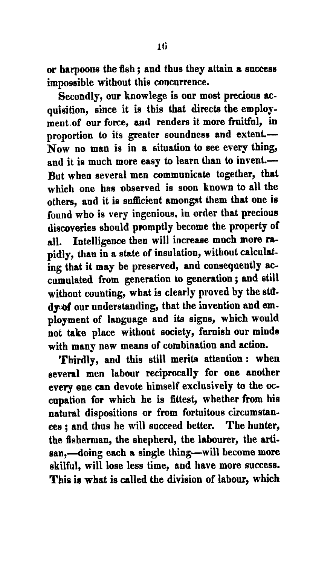**o***r* **harpoons the fish ; and thus they attain a succe**s**s impos**s**ible with**o**ut this concurrence***.*

**Secondly***,* **our knowle**g**e is our** m**ost preciou**s **acquisition***,* **since it is this that directs th**e **e**m**ployment.of our force, and renders it** m**ore fruitful***,* **in proportion to its greater soundness and extent.**m \_**Tow no** m**an is in a situation to** s**ee ev**e**ry thin**\_ **and it is much** m**ore** e**asy to learn t**h**an to invent.**m **But wh**e**n several** me**n co**mm**unicate to**g**ether***,* **that which on**e **has observed is soon known to all the others***,* **and it i**s **sufficien**t **a**m**on**\_**t the**m **that one i**s **found who is very in**g**enious, in order that precious** discoveries should promptly become the property of all. Intelligence then will increase much more ra**all. Inte**ll**igen***c***e then will increase** m**uch** m**ore rapidly, than in a s**ta**te of insulation***,* **without calculatin**g **that it** m**ay be preserved***,* **and consequentl**y **accu**m**u**la**t**e**d from** g**eneration to** \_**eneration ; and still without counting, what is clearly proved by the st**\_ **dy**\_ **our und**e**rs**ta**ndin**g**, that the invention** a**nd employ**m**ent of lan**g**ua**g**e and its si**g**ns***,* **which would not** ta**ke place without society***,* **furnish our** m**ind***s* **with many new** m**eans of co**m**bination and** ac**tion.**

**Thirdly, and this still** m**erits attention: when several** m**en labour r**ec**iprocally for on**e **another every one can devote hi**m**self exclusively** to th**e occupation for which he is fittest**\_ **whether fro**m **his natu**ra**l dispositions or fro**m **fortuitous circu**m**stan-** $\cos$  ; and thus he will succeed better. **the fisherman***,* **the shepherd, the labourer***,* **the artisan***,***---doin**g **e**ac**h a s**i**n**g**le thin**g--**wi**ll **become more ski**l**ful, wi**l**l lose less time***,* **and have** m**ore success. This i**s **what i**s **c**a**lled** th**e division of labour***,* **which**